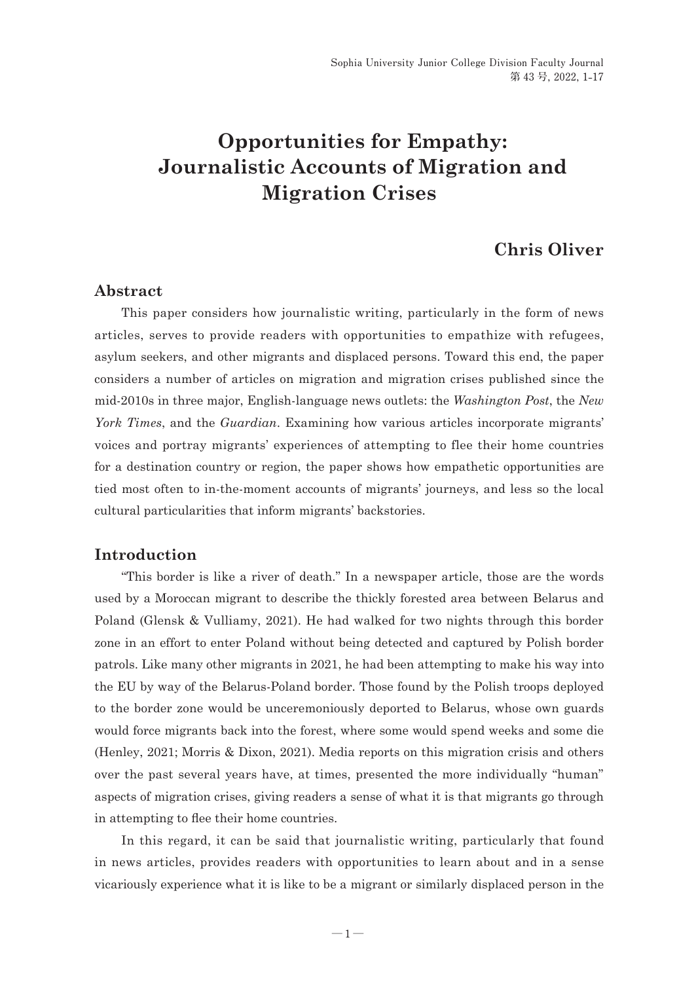# **Opportunities for Empathy: Journalistic Accounts of Migration and Migration Crises**

# **Chris Oliver**

#### **Abstract**

This paper considers how journalistic writing, particularly in the form of news articles, serves to provide readers with opportunities to empathize with refugees, asylum seekers, and other migrants and displaced persons. Toward this end, the paper considers a number of articles on migration and migration crises published since the mid-2010s in three major, English-language news outlets: the *Washington Post*, the *New York Times*, and the *Guardian*. Examining how various articles incorporate migrants' voices and portray migrants' experiences of attempting to flee their home countries for a destination country or region, the paper shows how empathetic opportunities are tied most often to in-the-moment accounts of migrants' journeys, and less so the local cultural particularities that inform migrants' backstories.

### **Introduction**

"This border is like a river of death." In a newspaper article, those are the words used by a Moroccan migrant to describe the thickly forested area between Belarus and Poland (Glensk & Vulliamy, 2021). He had walked for two nights through this border zone in an effort to enter Poland without being detected and captured by Polish border patrols. Like many other migrants in 2021, he had been attempting to make his way into the EU by way of the Belarus-Poland border. Those found by the Polish troops deployed to the border zone would be unceremoniously deported to Belarus, whose own guards would force migrants back into the forest, where some would spend weeks and some die (Henley, 2021; Morris & Dixon, 2021). Media reports on this migration crisis and others over the past several years have, at times, presented the more individually "human" aspects of migration crises, giving readers a sense of what it is that migrants go through in attempting to flee their home countries.

In this regard, it can be said that journalistic writing, particularly that found in news articles, provides readers with opportunities to learn about and in a sense vicariously experience what it is like to be a migrant or similarly displaced person in the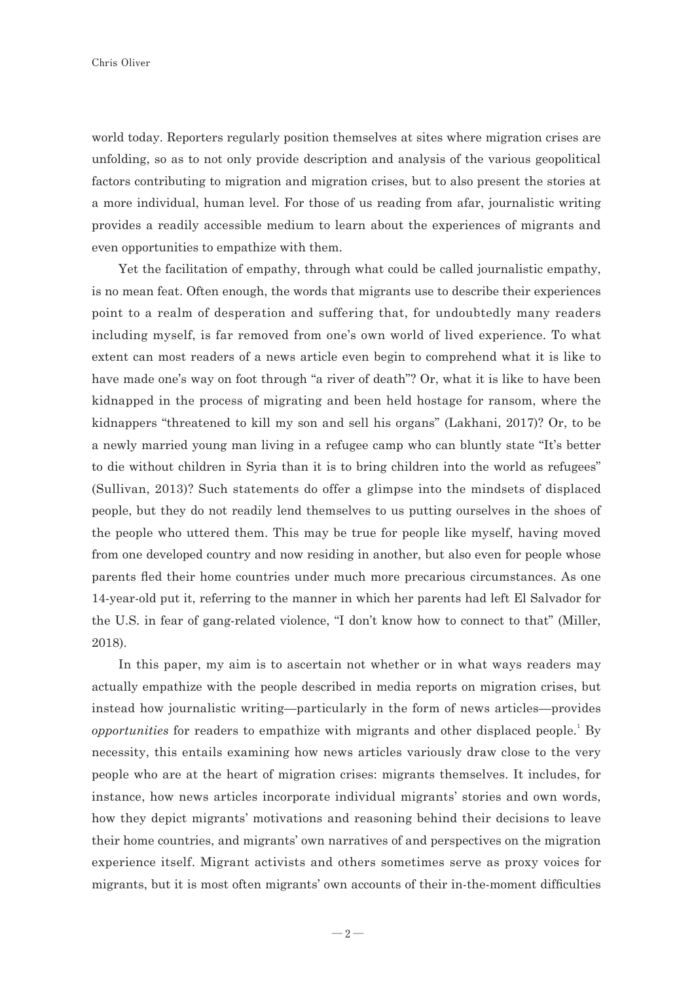world today. Reporters regularly position themselves at sites where migration crises are unfolding, so as to not only provide description and analysis of the various geopolitical factors contributing to migration and migration crises, but to also present the stories at a more individual, human level. For those of us reading from afar, journalistic writing provides a readily accessible medium to learn about the experiences of migrants and even opportunities to empathize with them.

Yet the facilitation of empathy, through what could be called journalistic empathy, is no mean feat. Often enough, the words that migrants use to describe their experiences point to a realm of desperation and suffering that, for undoubtedly many readers including myself, is far removed from one's own world of lived experience. To what extent can most readers of a news article even begin to comprehend what it is like to have made one's way on foot through "a river of death"? Or, what it is like to have been kidnapped in the process of migrating and been held hostage for ransom, where the kidnappers "threatened to kill my son and sell his organs" (Lakhani, 2017)? Or, to be a newly married young man living in a refugee camp who can bluntly state "It's better to die without children in Syria than it is to bring children into the world as refugees" (Sullivan, 2013)? Such statements do offer a glimpse into the mindsets of displaced people, but they do not readily lend themselves to us putting ourselves in the shoes of the people who uttered them. This may be true for people like myself, having moved from one developed country and now residing in another, but also even for people whose parents fled their home countries under much more precarious circumstances. As one 14-year-old put it, referring to the manner in which her parents had left El Salvador for the U.S. in fear of gang-related violence, "I don't know how to connect to that" (Miller, 2018).

In this paper, my aim is to ascertain not whether or in what ways readers may actually empathize with the people described in media reports on migration crises, but instead how journalistic writing—particularly in the form of news articles—provides *opportunities* for readers to empathize with migrants and other displaced people.<sup>1</sup> By necessity, this entails examining how news articles variously draw close to the very people who are at the heart of migration crises: migrants themselves. It includes, for instance, how news articles incorporate individual migrants' stories and own words, how they depict migrants' motivations and reasoning behind their decisions to leave their home countries, and migrants' own narratives of and perspectives on the migration experience itself. Migrant activists and others sometimes serve as proxy voices for migrants, but it is most often migrants' own accounts of their in-the-moment difficulties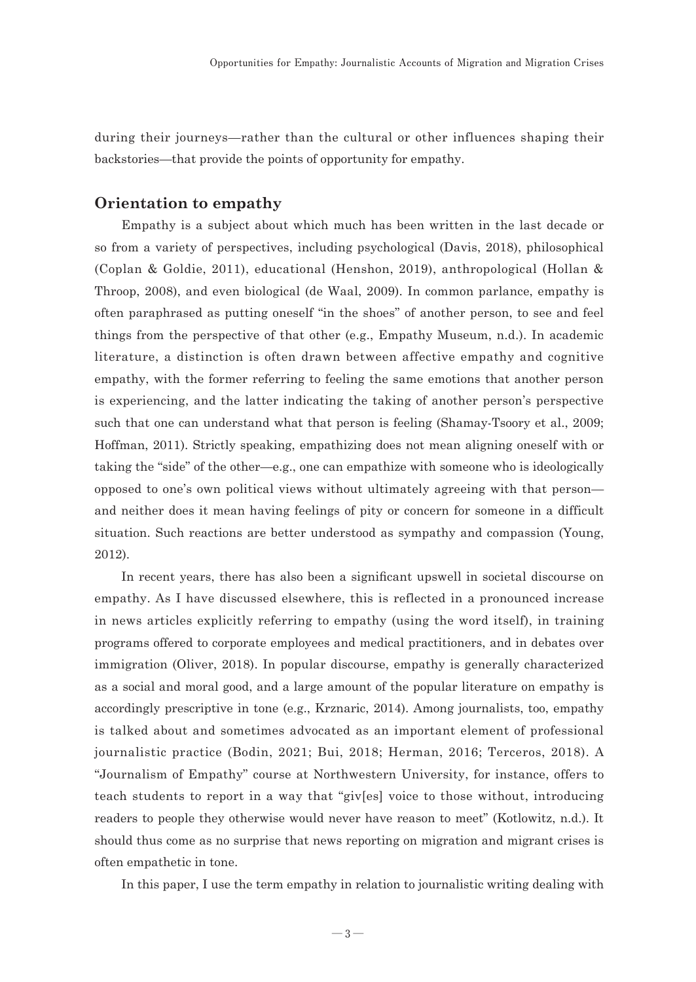during their journeys—rather than the cultural or other influences shaping their backstories—that provide the points of opportunity for empathy.

#### **Orientation to empathy**

Empathy is a subject about which much has been written in the last decade or so from a variety of perspectives, including psychological (Davis, 2018), philosophical (Coplan & Goldie, 2011), educational (Henshon, 2019), anthropological (Hollan & Throop, 2008), and even biological (de Waal, 2009). In common parlance, empathy is often paraphrased as putting oneself "in the shoes" of another person, to see and feel things from the perspective of that other (e.g., Empathy Museum, n.d.). In academic literature, a distinction is often drawn between affective empathy and cognitive empathy, with the former referring to feeling the same emotions that another person is experiencing, and the latter indicating the taking of another person's perspective such that one can understand what that person is feeling (Shamay-Tsoory et al., 2009; Hoffman, 2011). Strictly speaking, empathizing does not mean aligning oneself with or taking the "side" of the other—e.g., one can empathize with someone who is ideologically opposed to one's own political views without ultimately agreeing with that person and neither does it mean having feelings of pity or concern for someone in a difficult situation. Such reactions are better understood as sympathy and compassion (Young, 2012).

In recent years, there has also been a significant upswell in societal discourse on empathy. As I have discussed elsewhere, this is reflected in a pronounced increase in news articles explicitly referring to empathy (using the word itself), in training programs offered to corporate employees and medical practitioners, and in debates over immigration (Oliver, 2018). In popular discourse, empathy is generally characterized as a social and moral good, and a large amount of the popular literature on empathy is accordingly prescriptive in tone (e.g., Krznaric, 2014). Among journalists, too, empathy is talked about and sometimes advocated as an important element of professional journalistic practice (Bodin, 2021; Bui, 2018; Herman, 2016; Terceros, 2018). A "Journalism of Empathy" course at Northwestern University, for instance, offers to teach students to report in a way that "giv[es] voice to those without, introducing readers to people they otherwise would never have reason to meet" (Kotlowitz, n.d.). It should thus come as no surprise that news reporting on migration and migrant crises is often empathetic in tone.

In this paper, I use the term empathy in relation to journalistic writing dealing with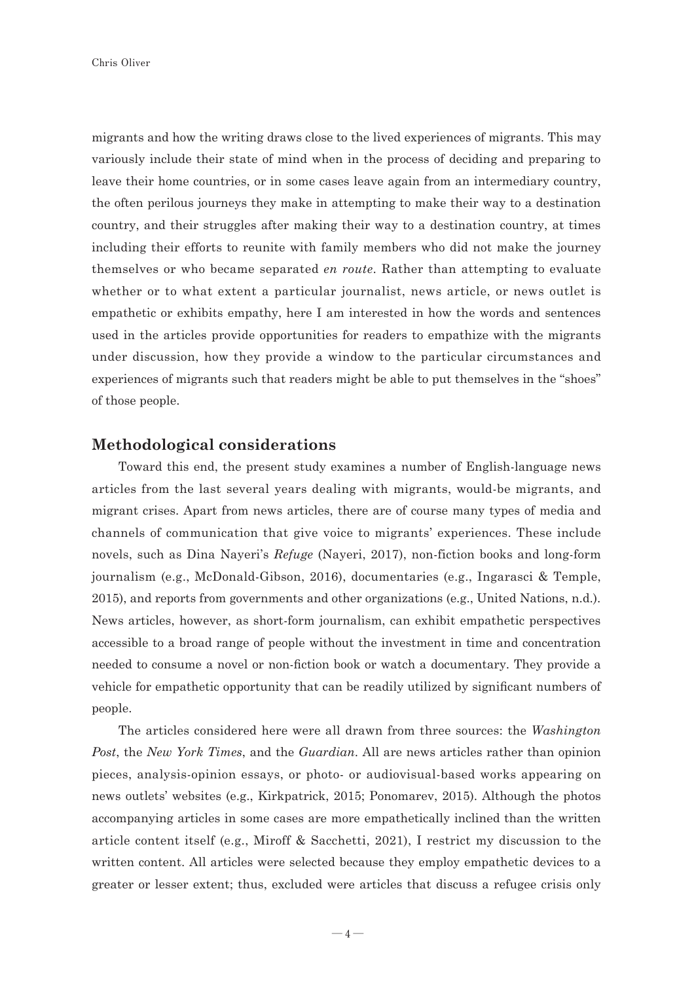migrants and how the writing draws close to the lived experiences of migrants. This may variously include their state of mind when in the process of deciding and preparing to leave their home countries, or in some cases leave again from an intermediary country, the often perilous journeys they make in attempting to make their way to a destination country, and their struggles after making their way to a destination country, at times including their efforts to reunite with family members who did not make the journey themselves or who became separated *en route*. Rather than attempting to evaluate whether or to what extent a particular journalist, news article, or news outlet is empathetic or exhibits empathy, here I am interested in how the words and sentences used in the articles provide opportunities for readers to empathize with the migrants under discussion, how they provide a window to the particular circumstances and experiences of migrants such that readers might be able to put themselves in the "shoes" of those people.

#### **Methodological considerations**

Toward this end, the present study examines a number of English-language news articles from the last several years dealing with migrants, would-be migrants, and migrant crises. Apart from news articles, there are of course many types of media and channels of communication that give voice to migrants' experiences. These include novels, such as Dina Nayeri's *Refuge* (Nayeri, 2017), non-fiction books and long-form journalism (e.g., McDonald-Gibson, 2016), documentaries (e.g., Ingarasci & Temple, 2015), and reports from governments and other organizations (e.g., United Nations, n.d.). News articles, however, as short-form journalism, can exhibit empathetic perspectives accessible to a broad range of people without the investment in time and concentration needed to consume a novel or non-fiction book or watch a documentary. They provide a vehicle for empathetic opportunity that can be readily utilized by significant numbers of people.

The articles considered here were all drawn from three sources: the *Washington Post*, the *New York Times*, and the *Guardian*. All are news articles rather than opinion pieces, analysis-opinion essays, or photo- or audiovisual-based works appearing on news outlets' websites (e.g., Kirkpatrick, 2015; Ponomarev, 2015). Although the photos accompanying articles in some cases are more empathetically inclined than the written article content itself (e.g., Miroff & Sacchetti, 2021), I restrict my discussion to the written content. All articles were selected because they employ empathetic devices to a greater or lesser extent; thus, excluded were articles that discuss a refugee crisis only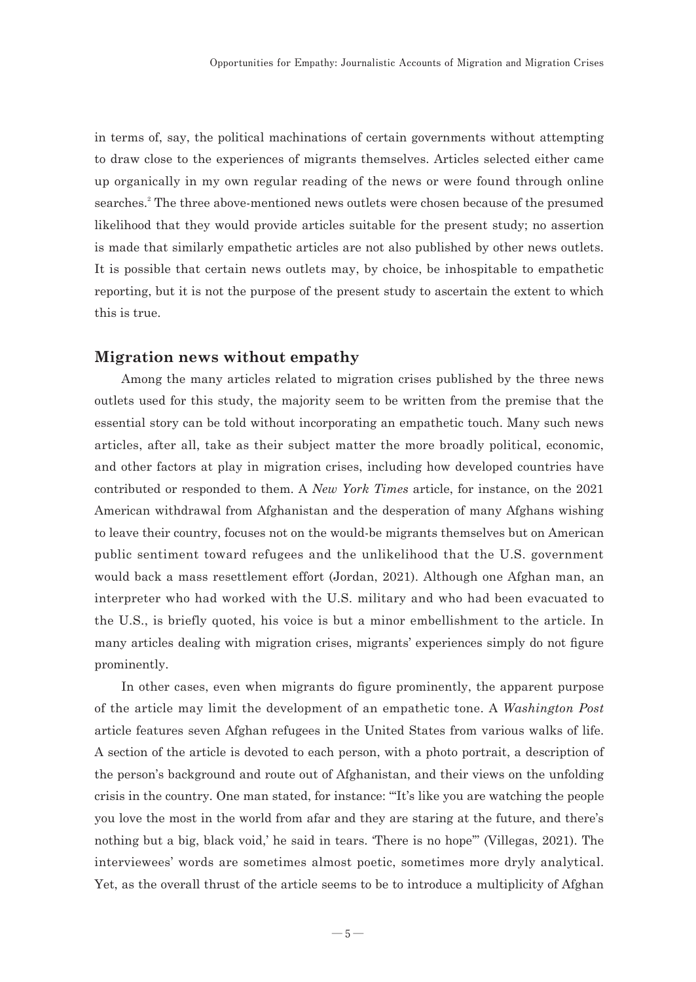in terms of, say, the political machinations of certain governments without attempting to draw close to the experiences of migrants themselves. Articles selected either came up organically in my own regular reading of the news or were found through online searches.<sup>2</sup> The three above-mentioned news outlets were chosen because of the presumed likelihood that they would provide articles suitable for the present study; no assertion is made that similarly empathetic articles are not also published by other news outlets. It is possible that certain news outlets may, by choice, be inhospitable to empathetic reporting, but it is not the purpose of the present study to ascertain the extent to which this is true.

#### **Migration news without empathy**

Among the many articles related to migration crises published by the three news outlets used for this study, the majority seem to be written from the premise that the essential story can be told without incorporating an empathetic touch. Many such news articles, after all, take as their subject matter the more broadly political, economic, and other factors at play in migration crises, including how developed countries have contributed or responded to them. A *New York Times* article, for instance, on the 2021 American withdrawal from Afghanistan and the desperation of many Afghans wishing to leave their country, focuses not on the would-be migrants themselves but on American public sentiment toward refugees and the unlikelihood that the U.S. government would back a mass resettlement effort (Jordan, 2021). Although one Afghan man, an interpreter who had worked with the U.S. military and who had been evacuated to the U.S., is briefly quoted, his voice is but a minor embellishment to the article. In many articles dealing with migration crises, migrants' experiences simply do not figure prominently.

In other cases, even when migrants do figure prominently, the apparent purpose of the article may limit the development of an empathetic tone. A *Washington Post* article features seven Afghan refugees in the United States from various walks of life. A section of the article is devoted to each person, with a photo portrait, a description of the person's background and route out of Afghanistan, and their views on the unfolding crisis in the country. One man stated, for instance: "'It's like you are watching the people you love the most in the world from afar and they are staring at the future, and there's nothing but a big, black void,' he said in tears. 'There is no hope'" (Villegas, 2021). The interviewees' words are sometimes almost poetic, sometimes more dryly analytical. Yet, as the overall thrust of the article seems to be to introduce a multiplicity of Afghan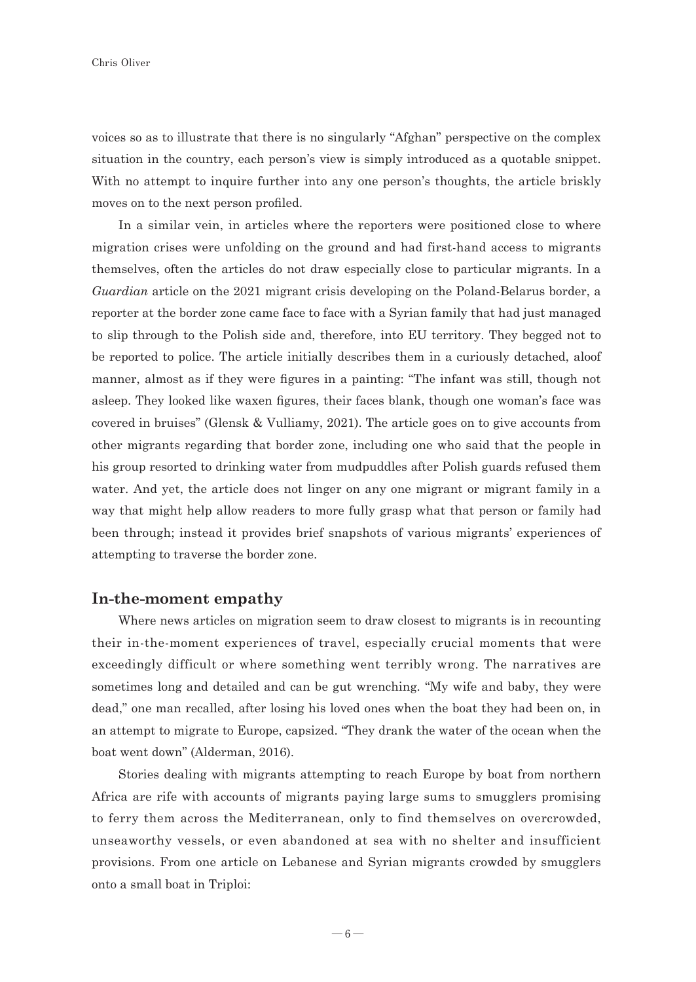voices so as to illustrate that there is no singularly "Afghan" perspective on the complex situation in the country, each person's view is simply introduced as a quotable snippet. With no attempt to inquire further into any one person's thoughts, the article briskly moves on to the next person profiled.

In a similar vein, in articles where the reporters were positioned close to where migration crises were unfolding on the ground and had first-hand access to migrants themselves, often the articles do not draw especially close to particular migrants. In a *Guardian* article on the 2021 migrant crisis developing on the Poland-Belarus border, a reporter at the border zone came face to face with a Syrian family that had just managed to slip through to the Polish side and, therefore, into EU territory. They begged not to be reported to police. The article initially describes them in a curiously detached, aloof manner, almost as if they were figures in a painting: "The infant was still, though not asleep. They looked like waxen figures, their faces blank, though one woman's face was covered in bruises" (Glensk & Vulliamy, 2021). The article goes on to give accounts from other migrants regarding that border zone, including one who said that the people in his group resorted to drinking water from mudpuddles after Polish guards refused them water. And yet, the article does not linger on any one migrant or migrant family in a way that might help allow readers to more fully grasp what that person or family had been through; instead it provides brief snapshots of various migrants' experiences of attempting to traverse the border zone.

#### **In-the-moment empathy**

Where news articles on migration seem to draw closest to migrants is in recounting their in-the-moment experiences of travel, especially crucial moments that were exceedingly difficult or where something went terribly wrong. The narratives are sometimes long and detailed and can be gut wrenching. "My wife and baby, they were dead," one man recalled, after losing his loved ones when the boat they had been on, in an attempt to migrate to Europe, capsized. "They drank the water of the ocean when the boat went down" (Alderman, 2016).

Stories dealing with migrants attempting to reach Europe by boat from northern Africa are rife with accounts of migrants paying large sums to smugglers promising to ferry them across the Mediterranean, only to find themselves on overcrowded, unseaworthy vessels, or even abandoned at sea with no shelter and insufficient provisions. From one article on Lebanese and Syrian migrants crowded by smugglers onto a small boat in Triploi: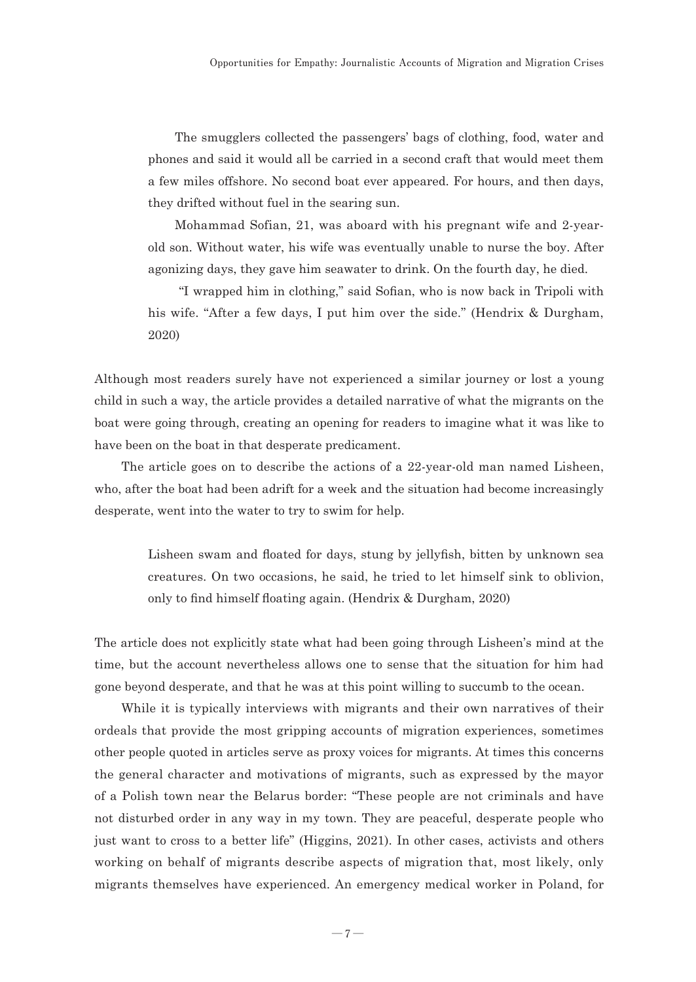The smugglers collected the passengers' bags of clothing, food, water and phones and said it would all be carried in a second craft that would meet them a few miles offshore. No second boat ever appeared. For hours, and then days, they drifted without fuel in the searing sun.

Mohammad Sofian, 21, was aboard with his pregnant wife and 2-yearold son. Without water, his wife was eventually unable to nurse the boy. After agonizing days, they gave him seawater to drink. On the fourth day, he died.

 "I wrapped him in clothing," said Sofian, who is now back in Tripoli with his wife. "After a few days, I put him over the side." (Hendrix & Durgham, 2020)

Although most readers surely have not experienced a similar journey or lost a young child in such a way, the article provides a detailed narrative of what the migrants on the boat were going through, creating an opening for readers to imagine what it was like to have been on the boat in that desperate predicament.

The article goes on to describe the actions of a 22-year-old man named Lisheen, who, after the boat had been adrift for a week and the situation had become increasingly desperate, went into the water to try to swim for help.

> Lisheen swam and floated for days, stung by jellyfish, bitten by unknown sea creatures. On two occasions, he said, he tried to let himself sink to oblivion, only to find himself floating again. (Hendrix & Durgham, 2020)

The article does not explicitly state what had been going through Lisheen's mind at the time, but the account nevertheless allows one to sense that the situation for him had gone beyond desperate, and that he was at this point willing to succumb to the ocean.

While it is typically interviews with migrants and their own narratives of their ordeals that provide the most gripping accounts of migration experiences, sometimes other people quoted in articles serve as proxy voices for migrants. At times this concerns the general character and motivations of migrants, such as expressed by the mayor of a Polish town near the Belarus border: "These people are not criminals and have not disturbed order in any way in my town. They are peaceful, desperate people who just want to cross to a better life" (Higgins, 2021). In other cases, activists and others working on behalf of migrants describe aspects of migration that, most likely, only migrants themselves have experienced. An emergency medical worker in Poland, for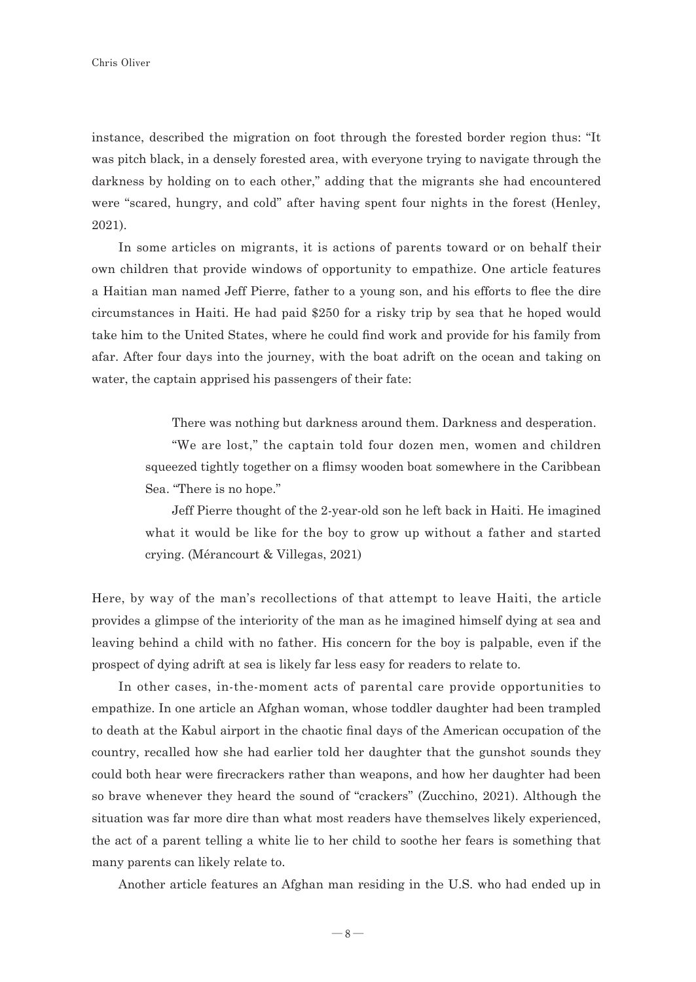instance, described the migration on foot through the forested border region thus: "It was pitch black, in a densely forested area, with everyone trying to navigate through the darkness by holding on to each other," adding that the migrants she had encountered were "scared, hungry, and cold" after having spent four nights in the forest (Henley, 2021).

In some articles on migrants, it is actions of parents toward or on behalf their own children that provide windows of opportunity to empathize. One article features a Haitian man named Jeff Pierre, father to a young son, and his efforts to flee the dire circumstances in Haiti. He had paid \$250 for a risky trip by sea that he hoped would take him to the United States, where he could find work and provide for his family from afar. After four days into the journey, with the boat adrift on the ocean and taking on water, the captain apprised his passengers of their fate:

There was nothing but darkness around them. Darkness and desperation.

"We are lost," the captain told four dozen men, women and children squeezed tightly together on a flimsy wooden boat somewhere in the Caribbean Sea. "There is no hope."

Jeff Pierre thought of the 2-year-old son he left back in Haiti. He imagined what it would be like for the boy to grow up without a father and started crying. (Mérancourt & Villegas, 2021)

Here, by way of the man's recollections of that attempt to leave Haiti, the article provides a glimpse of the interiority of the man as he imagined himself dying at sea and leaving behind a child with no father. His concern for the boy is palpable, even if the prospect of dying adrift at sea is likely far less easy for readers to relate to.

In other cases, in-the-moment acts of parental care provide opportunities to empathize. In one article an Afghan woman, whose toddler daughter had been trampled to death at the Kabul airport in the chaotic final days of the American occupation of the country, recalled how she had earlier told her daughter that the gunshot sounds they could both hear were firecrackers rather than weapons, and how her daughter had been so brave whenever they heard the sound of "crackers" (Zucchino, 2021). Although the situation was far more dire than what most readers have themselves likely experienced, the act of a parent telling a white lie to her child to soothe her fears is something that many parents can likely relate to.

Another article features an Afghan man residing in the U.S. who had ended up in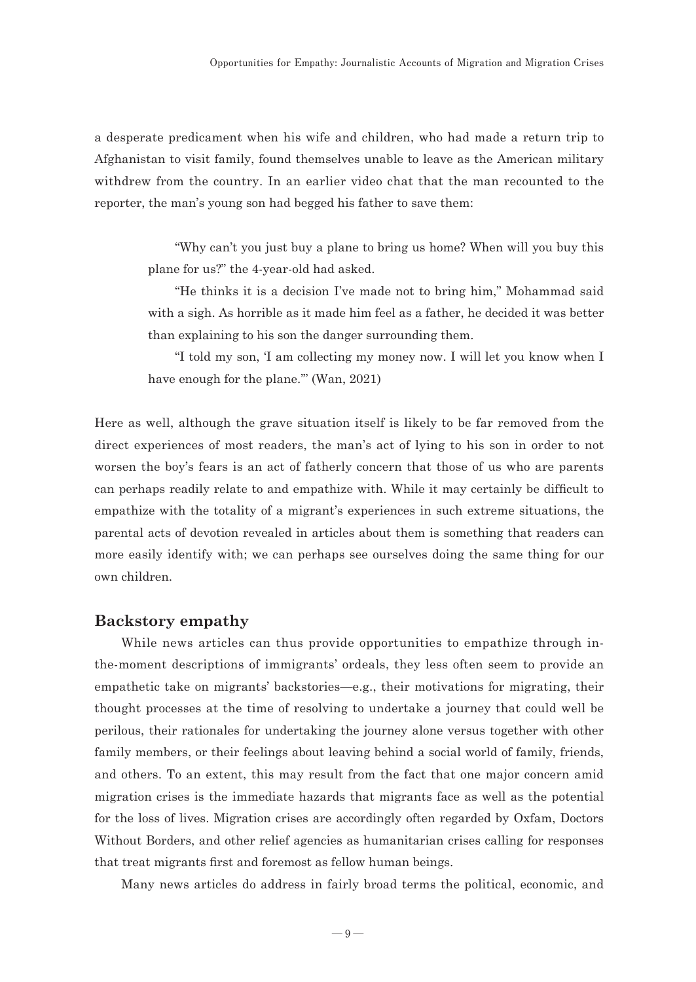a desperate predicament when his wife and children, who had made a return trip to Afghanistan to visit family, found themselves unable to leave as the American military withdrew from the country. In an earlier video chat that the man recounted to the reporter, the man's young son had begged his father to save them:

> "Why can't you just buy a plane to bring us home? When will you buy this plane for us?" the 4-year-old had asked.

> "He thinks it is a decision I've made not to bring him," Mohammad said with a sigh. As horrible as it made him feel as a father, he decided it was better than explaining to his son the danger surrounding them.

> "I told my son, 'I am collecting my money now. I will let you know when I have enough for the plane.'" (Wan, 2021)

Here as well, although the grave situation itself is likely to be far removed from the direct experiences of most readers, the man's act of lying to his son in order to not worsen the boy's fears is an act of fatherly concern that those of us who are parents can perhaps readily relate to and empathize with. While it may certainly be difficult to empathize with the totality of a migrant's experiences in such extreme situations, the parental acts of devotion revealed in articles about them is something that readers can more easily identify with; we can perhaps see ourselves doing the same thing for our own children.

#### **Backstory empathy**

While news articles can thus provide opportunities to empathize through inthe-moment descriptions of immigrants' ordeals, they less often seem to provide an empathetic take on migrants' backstories—e.g., their motivations for migrating, their thought processes at the time of resolving to undertake a journey that could well be perilous, their rationales for undertaking the journey alone versus together with other family members, or their feelings about leaving behind a social world of family, friends, and others. To an extent, this may result from the fact that one major concern amid migration crises is the immediate hazards that migrants face as well as the potential for the loss of lives. Migration crises are accordingly often regarded by Oxfam, Doctors Without Borders, and other relief agencies as humanitarian crises calling for responses that treat migrants first and foremost as fellow human beings.

Many news articles do address in fairly broad terms the political, economic, and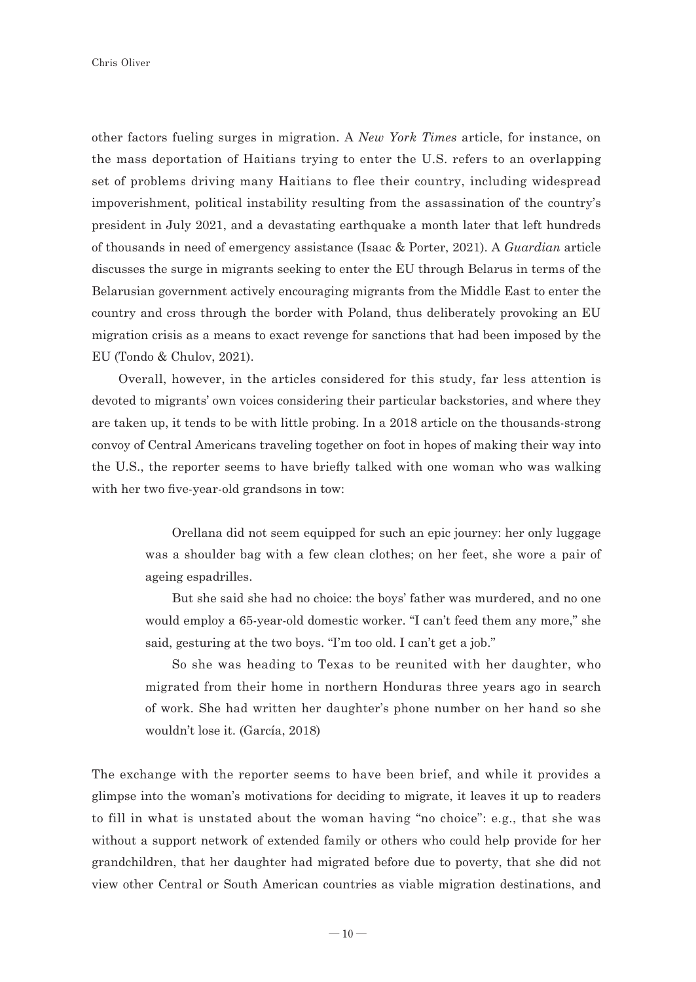other factors fueling surges in migration. A *New York Times* article, for instance, on the mass deportation of Haitians trying to enter the U.S. refers to an overlapping set of problems driving many Haitians to flee their country, including widespread impoverishment, political instability resulting from the assassination of the country's president in July 2021, and a devastating earthquake a month later that left hundreds of thousands in need of emergency assistance (Isaac & Porter, 2021). A *Guardian* article discusses the surge in migrants seeking to enter the EU through Belarus in terms of the Belarusian government actively encouraging migrants from the Middle East to enter the country and cross through the border with Poland, thus deliberately provoking an EU migration crisis as a means to exact revenge for sanctions that had been imposed by the EU (Tondo & Chulov, 2021).

Overall, however, in the articles considered for this study, far less attention is devoted to migrants' own voices considering their particular backstories, and where they are taken up, it tends to be with little probing. In a 2018 article on the thousands-strong convoy of Central Americans traveling together on foot in hopes of making their way into the U.S., the reporter seems to have briefly talked with one woman who was walking with her two five-year-old grandsons in tow:

> Orellana did not seem equipped for such an epic journey: her only luggage was a shoulder bag with a few clean clothes; on her feet, she wore a pair of ageing espadrilles.

> But she said she had no choice: the boys' father was murdered, and no one would employ a 65-year-old domestic worker. "I can't feed them any more," she said, gesturing at the two boys. "I'm too old. I can't get a job."

> So she was heading to Texas to be reunited with her daughter, who migrated from their home in northern Honduras three years ago in search of work. She had written her daughter's phone number on her hand so she wouldn't lose it. (García, 2018)

The exchange with the reporter seems to have been brief, and while it provides a glimpse into the woman's motivations for deciding to migrate, it leaves it up to readers to fill in what is unstated about the woman having "no choice": e.g., that she was without a support network of extended family or others who could help provide for her grandchildren, that her daughter had migrated before due to poverty, that she did not view other Central or South American countries as viable migration destinations, and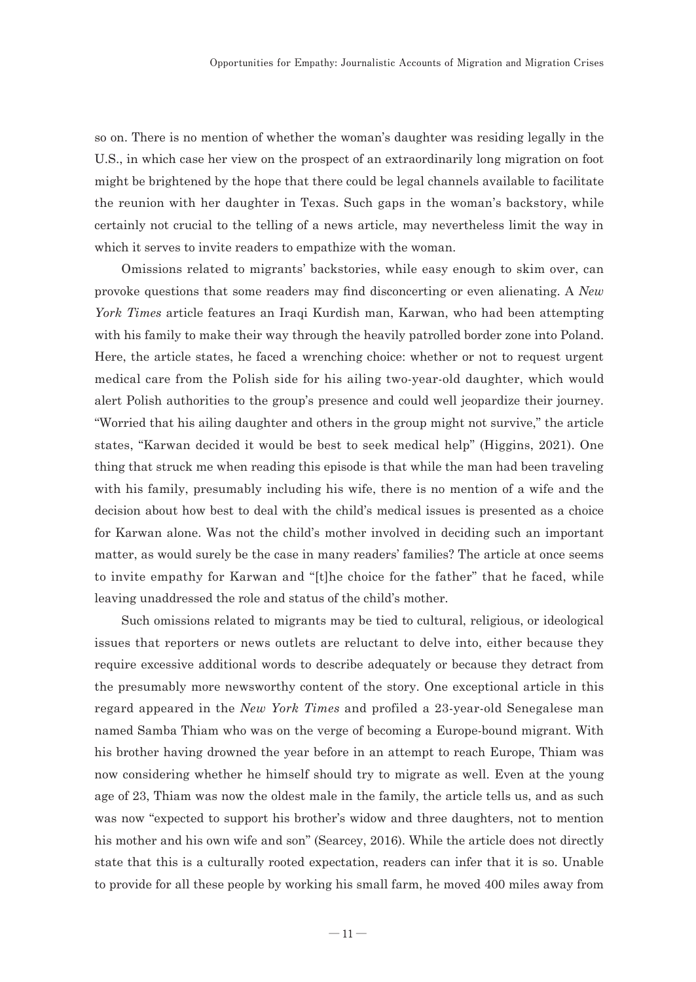so on. There is no mention of whether the woman's daughter was residing legally in the U.S., in which case her view on the prospect of an extraordinarily long migration on foot might be brightened by the hope that there could be legal channels available to facilitate the reunion with her daughter in Texas. Such gaps in the woman's backstory, while certainly not crucial to the telling of a news article, may nevertheless limit the way in which it serves to invite readers to empathize with the woman.

Omissions related to migrants' backstories, while easy enough to skim over, can provoke questions that some readers may find disconcerting or even alienating. A *New York Times* article features an Iraqi Kurdish man, Karwan, who had been attempting with his family to make their way through the heavily patrolled border zone into Poland. Here, the article states, he faced a wrenching choice: whether or not to request urgent medical care from the Polish side for his ailing two-year-old daughter, which would alert Polish authorities to the group's presence and could well jeopardize their journey. "Worried that his ailing daughter and others in the group might not survive," the article states, "Karwan decided it would be best to seek medical help" (Higgins, 2021). One thing that struck me when reading this episode is that while the man had been traveling with his family, presumably including his wife, there is no mention of a wife and the decision about how best to deal with the child's medical issues is presented as a choice for Karwan alone. Was not the child's mother involved in deciding such an important matter, as would surely be the case in many readers' families? The article at once seems to invite empathy for Karwan and "[t]he choice for the father" that he faced, while leaving unaddressed the role and status of the child's mother.

Such omissions related to migrants may be tied to cultural, religious, or ideological issues that reporters or news outlets are reluctant to delve into, either because they require excessive additional words to describe adequately or because they detract from the presumably more newsworthy content of the story. One exceptional article in this regard appeared in the *New York Times* and profiled a 23-year-old Senegalese man named Samba Thiam who was on the verge of becoming a Europe-bound migrant. With his brother having drowned the year before in an attempt to reach Europe, Thiam was now considering whether he himself should try to migrate as well. Even at the young age of 23, Thiam was now the oldest male in the family, the article tells us, and as such was now "expected to support his brother's widow and three daughters, not to mention his mother and his own wife and son" (Searcey, 2016). While the article does not directly state that this is a culturally rooted expectation, readers can infer that it is so. Unable to provide for all these people by working his small farm, he moved 400 miles away from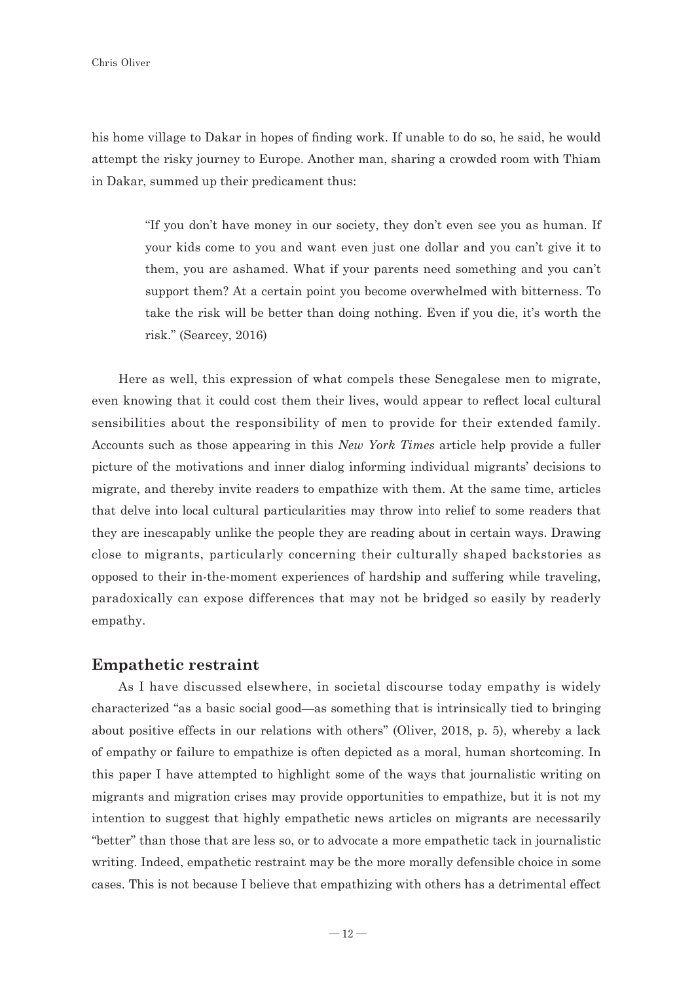his home village to Dakar in hopes of finding work. If unable to do so, he said, he would attempt the risky journey to Europe. Another man, sharing a crowded room with Thiam in Dakar, summed up their predicament thus:

> "If you don't have money in our society, they don't even see you as human. If your kids come to you and want even just one dollar and you can't give it to them, you are ashamed. What if your parents need something and you can't support them? At a certain point you become overwhelmed with bitterness. To take the risk will be better than doing nothing. Even if you die, it's worth the risk." (Searcey, 2016)

Here as well, this expression of what compels these Senegalese men to migrate, even knowing that it could cost them their lives, would appear to reflect local cultural sensibilities about the responsibility of men to provide for their extended family. Accounts such as those appearing in this *New York Times* article help provide a fuller picture of the motivations and inner dialog informing individual migrants' decisions to migrate, and thereby invite readers to empathize with them. At the same time, articles that delve into local cultural particularities may throw into relief to some readers that they are inescapably unlike the people they are reading about in certain ways. Drawing close to migrants, particularly concerning their culturally shaped backstories as opposed to their in-the-moment experiences of hardship and suffering while traveling, paradoxically can expose differences that may not be bridged so easily by readerly empathy.

#### **Empathetic restraint**

As I have discussed elsewhere, in societal discourse today empathy is widely characterized "as a basic social good—as something that is intrinsically tied to bringing about positive effects in our relations with others" (Oliver, 2018, p. 5), whereby a lack of empathy or failure to empathize is often depicted as a moral, human shortcoming. In this paper I have attempted to highlight some of the ways that journalistic writing on migrants and migration crises may provide opportunities to empathize, but it is not my intention to suggest that highly empathetic news articles on migrants are necessarily "better" than those that are less so, or to advocate a more empathetic tack in journalistic writing. Indeed, empathetic restraint may be the more morally defensible choice in some cases. This is not because I believe that empathizing with others has a detrimental effect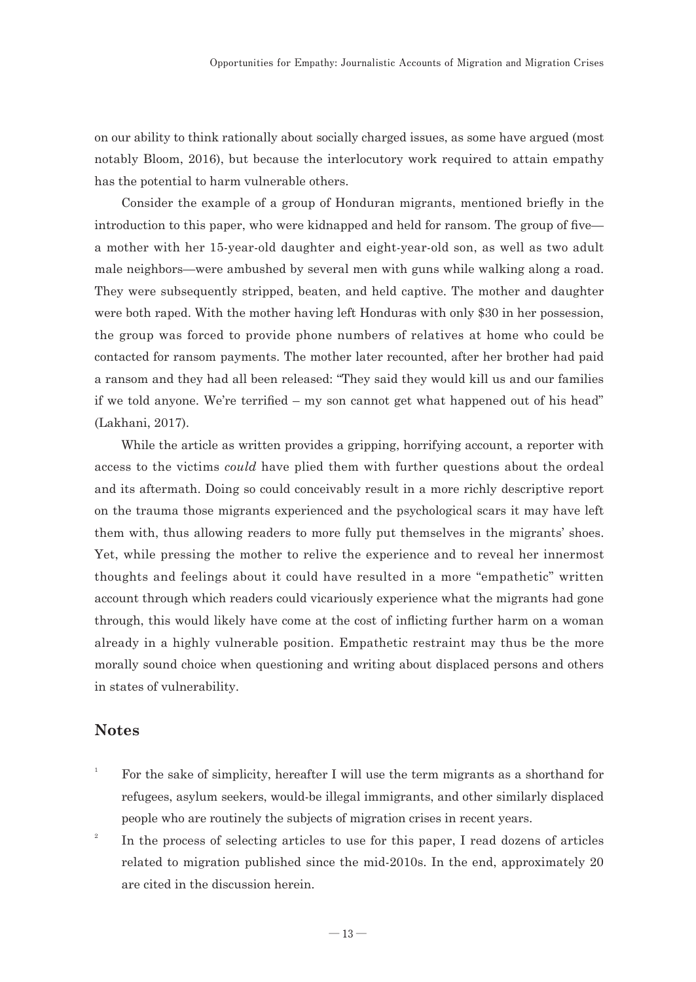on our ability to think rationally about socially charged issues, as some have argued (most notably Bloom, 2016), but because the interlocutory work required to attain empathy has the potential to harm vulnerable others.

Consider the example of a group of Honduran migrants, mentioned briefly in the introduction to this paper, who were kidnapped and held for ransom. The group of five a mother with her 15-year-old daughter and eight-year-old son, as well as two adult male neighbors—were ambushed by several men with guns while walking along a road. They were subsequently stripped, beaten, and held captive. The mother and daughter were both raped. With the mother having left Honduras with only \$30 in her possession, the group was forced to provide phone numbers of relatives at home who could be contacted for ransom payments. The mother later recounted, after her brother had paid a ransom and they had all been released: "They said they would kill us and our families if we told anyone. We're terrified – my son cannot get what happened out of his head" (Lakhani, 2017).

While the article as written provides a gripping, horrifying account, a reporter with access to the victims *could* have plied them with further questions about the ordeal and its aftermath. Doing so could conceivably result in a more richly descriptive report on the trauma those migrants experienced and the psychological scars it may have left them with, thus allowing readers to more fully put themselves in the migrants' shoes. Yet, while pressing the mother to relive the experience and to reveal her innermost thoughts and feelings about it could have resulted in a more "empathetic" written account through which readers could vicariously experience what the migrants had gone through, this would likely have come at the cost of inflicting further harm on a woman already in a highly vulnerable position. Empathetic restraint may thus be the more morally sound choice when questioning and writing about displaced persons and others in states of vulnerability.

# **Notes**

- 1 For the sake of simplicity, hereafter I will use the term migrants as a shorthand for refugees, asylum seekers, would-be illegal immigrants, and other similarly displaced people who are routinely the subjects of migration crises in recent years.
- 2 In the process of selecting articles to use for this paper, I read dozens of articles related to migration published since the mid-2010s. In the end, approximately 20 are cited in the discussion herein.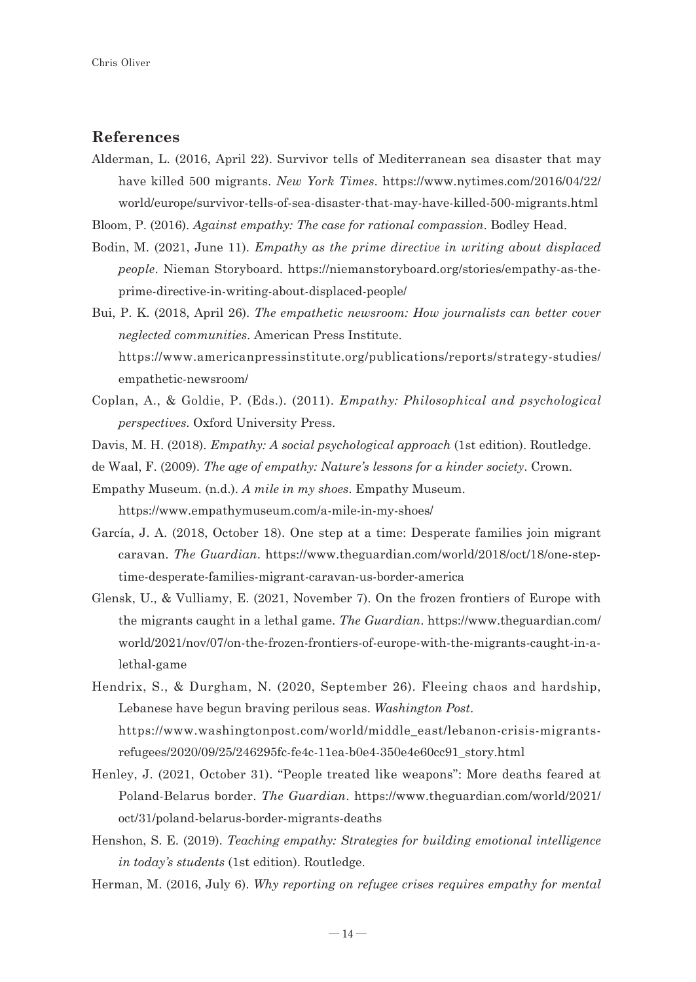# **References**

Alderman, L. (2016, April 22). Survivor tells of Mediterranean sea disaster that may have killed 500 migrants. *New York Times*. https://www.nytimes.com/2016/04/22/ world/europe/survivor-tells-of-sea-disaster-that-may-have-killed-500-migrants.html

Bloom, P. (2016). *Against empathy: The case for rational compassion*. Bodley Head.

Bodin, M. (2021, June 11). *Empathy as the prime directive in writing about displaced people*. Nieman Storyboard. https://niemanstoryboard.org/stories/empathy-as-theprime-directive-in-writing-about-displaced-people/

Bui, P. K. (2018, April 26). *The empathetic newsroom: How journalists can better cover neglected communities*. American Press Institute. https://www.americanpressinstitute.org/publications/reports/strategy-studies/ empathetic-newsroom/

- Coplan, A., & Goldie, P. (Eds.). (2011). *Empathy: Philosophical and psychological perspectives*. Oxford University Press.
- Davis, M. H. (2018). *Empathy: A social psychological approach* (1st edition). Routledge.

de Waal, F. (2009). *The age of empathy: Nature's lessons for a kinder society*. Crown.

Empathy Museum. (n.d.). *A mile in my shoes*. Empathy Museum. https://www.empathymuseum.com/a-mile-in-my-shoes/

- García, J. A. (2018, October 18). One step at a time: Desperate families join migrant caravan. *The Guardian*. https://www.theguardian.com/world/2018/oct/18/one-steptime-desperate-families-migrant-caravan-us-border-america
- Glensk, U., & Vulliamy, E. (2021, November 7). On the frozen frontiers of Europe with the migrants caught in a lethal game. *The Guardian*. https://www.theguardian.com/ world/2021/nov/07/on-the-frozen-frontiers-of-europe-with-the-migrants-caught-in-alethal-game
- Hendrix, S., & Durgham, N. (2020, September 26). Fleeing chaos and hardship, Lebanese have begun braving perilous seas. *Washington Post*. https://www.washingtonpost.com/world/middle\_east/lebanon-crisis-migrantsrefugees/2020/09/25/246295fc-fe4c-11ea-b0e4-350e4e60cc91\_story.html
- Henley, J. (2021, October 31). "People treated like weapons": More deaths feared at Poland-Belarus border. *The Guardian*. https://www.theguardian.com/world/2021/ oct/31/poland-belarus-border-migrants-deaths
- Henshon, S. E. (2019). *Teaching empathy: Strategies for building emotional intelligence in today's students* (1st edition). Routledge.
- Herman, M. (2016, July 6). *Why reporting on refugee crises requires empathy for mental*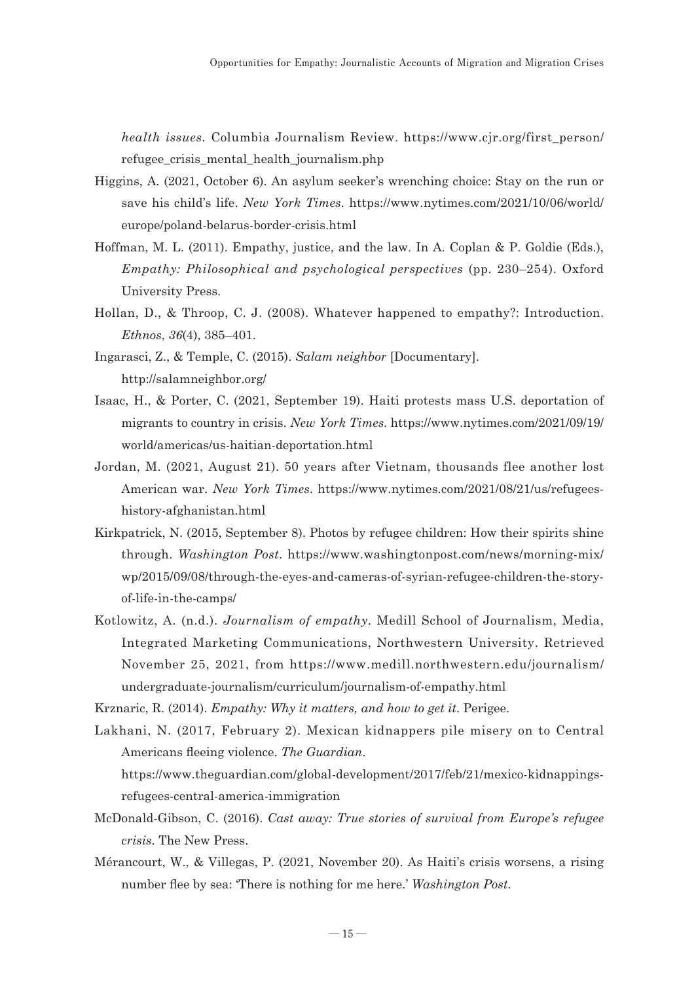*health issues*. Columbia Journalism Review. https://www.cjr.org/first\_person/ refugee crisis mental health journalism.php

- Higgins, A. (2021, October 6). An asylum seeker's wrenching choice: Stay on the run or save his child's life. *New York Times*. https://www.nytimes.com/2021/10/06/world/ europe/poland-belarus-border-crisis.html
- Hoffman, M. L. (2011). Empathy, justice, and the law. In A. Coplan & P. Goldie (Eds.), *Empathy: Philosophical and psychological perspectives* (pp. 230–254). Oxford University Press.
- Hollan, D., & Throop, C. J. (2008). Whatever happened to empathy?: Introduction. *Ethnos*, *36*(4), 385–401.
- Ingarasci, Z., & Temple, C. (2015). *Salam neighbor* [Documentary]. http://salamneighbor.org/
- Isaac, H., & Porter, C. (2021, September 19). Haiti protests mass U.S. deportation of migrants to country in crisis. *New York Times*. https://www.nytimes.com/2021/09/19/ world/americas/us-haitian-deportation.html
- Jordan, M. (2021, August 21). 50 years after Vietnam, thousands flee another lost American war. *New York Times*. https://www.nytimes.com/2021/08/21/us/refugeeshistory-afghanistan.html
- Kirkpatrick, N. (2015, September 8). Photos by refugee children: How their spirits shine through. *Washington Post*. https://www.washingtonpost.com/news/morning-mix/ wp/2015/09/08/through-the-eyes-and-cameras-of-syrian-refugee-children-the-storyof-life-in-the-camps/
- Kotlowitz, A. (n.d.). *Journalism of empathy*. Medill School of Journalism, Media, Integrated Marketing Communications, Northwestern University. Retrieved November 25, 2021, from https://www.medill.northwestern.edu/journalism/ undergraduate-journalism/curriculum/journalism-of-empathy.html
- Krznaric, R. (2014). *Empathy: Why it matters, and how to get it*. Perigee.
- Lakhani, N. (2017, February 2). Mexican kidnappers pile misery on to Central Americans fleeing violence. *The Guardian*. https://www.theguardian.com/global-development/2017/feb/21/mexico-kidnappings-
- refugees-central-america-immigration McDonald-Gibson, C. (2016). *Cast away: True stories of survival from Europe's refugee*
- *crisis*. The New Press. Mérancourt, W., & Villegas, P. (2021, November 20). As Haiti's crisis worsens, a rising

number flee by sea: 'There is nothing for me here.' *Washington Post*.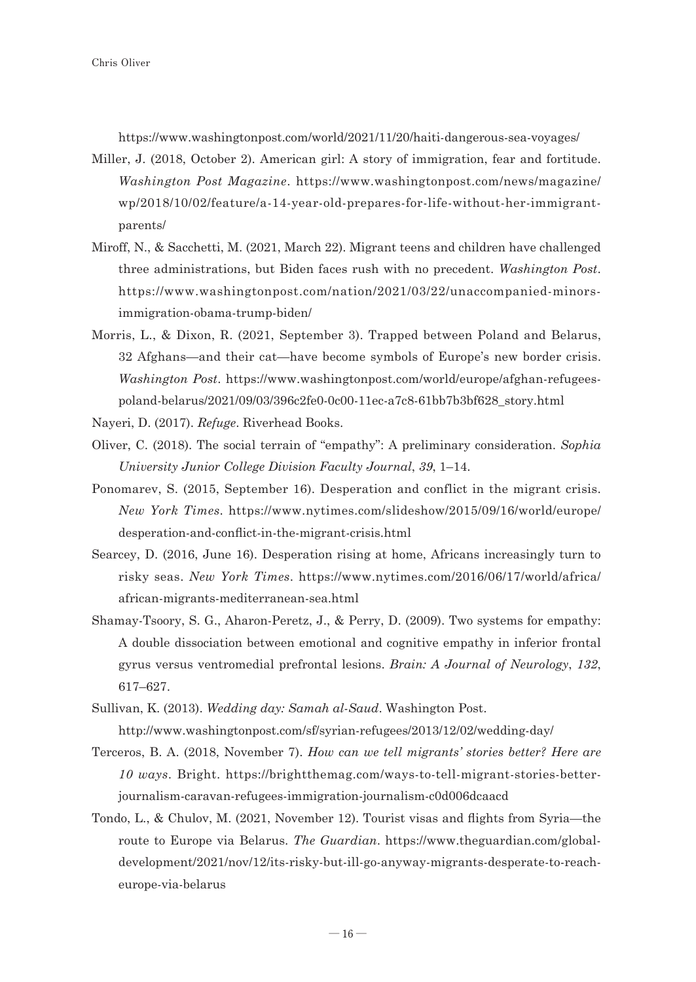https://www.washingtonpost.com/world/2021/11/20/haiti-dangerous-sea-voyages/

- Miller, J. (2018, October 2). American girl: A story of immigration, fear and fortitude. *Washington Post Magazine*. https://www.washingtonpost.com/news/magazine/ wp/2018/10/02/feature/a-14-year-old-prepares-for-life-without-her-immigrantparents/
- Miroff, N., & Sacchetti, M. (2021, March 22). Migrant teens and children have challenged three administrations, but Biden faces rush with no precedent. *Washington Post*. https://www.washingtonpost.com/nation/2021/03/22/unaccompanied-minorsimmigration-obama-trump-biden/
- Morris, L., & Dixon, R. (2021, September 3). Trapped between Poland and Belarus, 32 Afghans—and their cat—have become symbols of Europe's new border crisis. *Washington Post*. https://www.washingtonpost.com/world/europe/afghan-refugeespoland-belarus/2021/09/03/396c2fe0-0c00-11ec-a7c8-61bb7b3bf628\_story.html
- Nayeri, D. (2017). *Refuge*. Riverhead Books.
- Oliver, C. (2018). The social terrain of "empathy": A preliminary consideration. *Sophia University Junior College Division Faculty Journal*, *39*, 1–14.
- Ponomarev, S. (2015, September 16). Desperation and conflict in the migrant crisis. *New York Times*. https://www.nytimes.com/slideshow/2015/09/16/world/europe/ desperation-and-conflict-in-the-migrant-crisis.html
- Searcey, D. (2016, June 16). Desperation rising at home, Africans increasingly turn to risky seas. *New York Times*. https://www.nytimes.com/2016/06/17/world/africa/ african-migrants-mediterranean-sea.html
- Shamay-Tsoory, S. G., Aharon-Peretz, J., & Perry, D. (2009). Two systems for empathy: A double dissociation between emotional and cognitive empathy in inferior frontal gyrus versus ventromedial prefrontal lesions. *Brain: A Journal of Neurology*, *132*, 617–627.
- Sullivan, K. (2013). *Wedding day: Samah al-Saud*. Washington Post.

http://www.washingtonpost.com/sf/syrian-refugees/2013/12/02/wedding-day/

- Terceros, B. A. (2018, November 7). *How can we tell migrants' stories better? Here are 10 ways*. Bright. https://brightthemag.com/ways-to-tell-migrant-stories-betterjournalism-caravan-refugees-immigration-journalism-c0d006dcaacd
- Tondo, L., & Chulov, M. (2021, November 12). Tourist visas and flights from Syria—the route to Europe via Belarus. *The Guardian*. https://www.theguardian.com/globaldevelopment/2021/nov/12/its-risky-but-ill-go-anyway-migrants-desperate-to-reacheurope-via-belarus